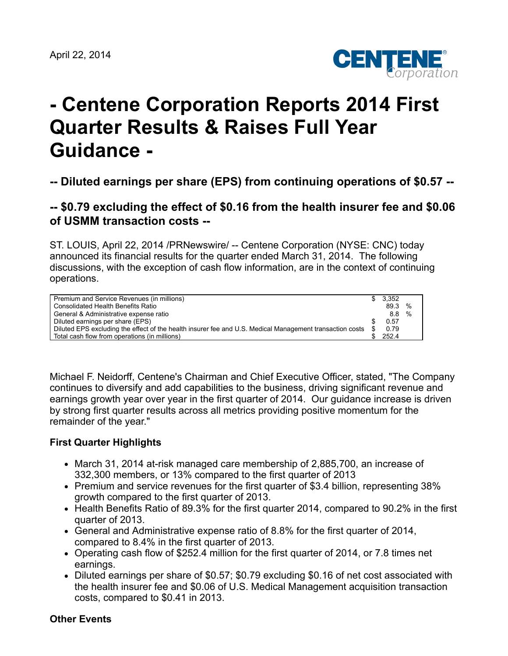

# **- Centene Corporation Reports 2014 First Quarter Results & Raises Full Year Guidance -**

**-- Diluted earnings per share (EPS) from continuing operations of \$0.57 --**

# **-- \$0.79 excluding the effect of \$0.16 from the health insurer fee and \$0.06 of USMM transaction costs --**

ST. LOUIS, April 22, 2014 /PRNewswire/ -- Centene Corporation (NYSE: CNC) today announced its financial results for the quarter ended March 31, 2014. The following discussions, with the exception of cash flow information, are in the context of continuing operations.

| Premium and Service Revenues (in millions)                                                               |     | 3.352 |               |
|----------------------------------------------------------------------------------------------------------|-----|-------|---------------|
| Consolidated Health Benefits Ratio                                                                       |     | 89.3  | %             |
| General & Administrative expense ratio                                                                   |     | 8.8   | $\frac{1}{2}$ |
| Diluted earnings per share (EPS)                                                                         |     | 0.57  |               |
| Diluted EPS excluding the effect of the health insurer fee and U.S. Medical Management transaction costs | \$. | 0.79  |               |
| Total cash flow from operations (in millions)                                                            |     | 252.4 |               |

Michael F. Neidorff, Centene's Chairman and Chief Executive Officer, stated, "The Company continues to diversify and add capabilities to the business, driving significant revenue and earnings growth year over year in the first quarter of 2014. Our guidance increase is driven by strong first quarter results across all metrics providing positive momentum for the remainder of the year."

### **First Quarter Highlights**

- March 31, 2014 at-risk managed care membership of 2,885,700, an increase of 332,300 members, or 13% compared to the first quarter of 2013
- Premium and service revenues for the first quarter of \$3.4 billion, representing 38% growth compared to the first quarter of 2013.
- Health Benefits Ratio of 89.3% for the first quarter 2014, compared to 90.2% in the first quarter of 2013.
- General and Administrative expense ratio of 8.8% for the first quarter of 2014, compared to 8.4% in the first quarter of 2013.
- Operating cash flow of \$252.4 million for the first quarter of 2014, or 7.8 times net earnings.
- Diluted earnings per share of \$0.57; \$0.79 excluding \$0.16 of net cost associated with the health insurer fee and \$0.06 of U.S. Medical Management acquisition transaction costs, compared to \$0.41 in 2013.

#### **Other Events**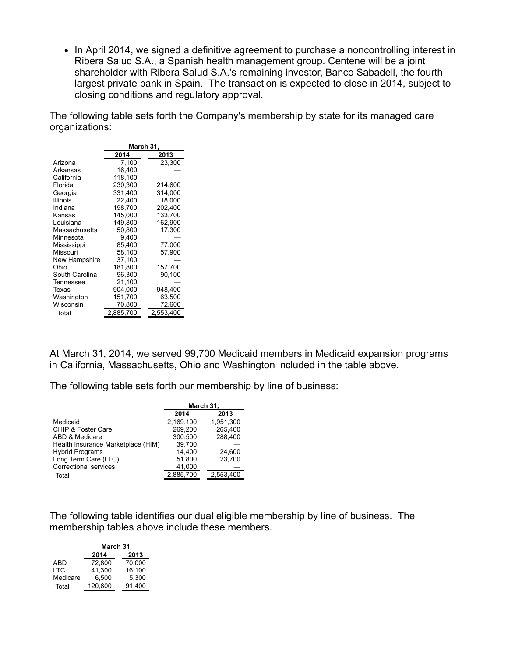• In April 2014, we signed a definitive agreement to purchase a noncontrolling interest in Ribera Salud S.A., a Spanish health management group. Centene will be a joint shareholder with Ribera Salud S.A.'s remaining investor, Banco Sabadell, the fourth largest private bank in Spain. The transaction is expected to close in 2014, subject to closing conditions and regulatory approval.

The following table sets forth the Company's membership by state for its managed care organizations:

|                 | March 31, |           |  |  |  |  |
|-----------------|-----------|-----------|--|--|--|--|
|                 | 2014      | 2013      |  |  |  |  |
| Arizona         | 7,100     | 23,300    |  |  |  |  |
| Arkansas        | 16,400    |           |  |  |  |  |
| California      | 118.100   |           |  |  |  |  |
| Florida         | 230.300   | 214,600   |  |  |  |  |
| Georgia         | 331,400   | 314,000   |  |  |  |  |
| <b>Illinois</b> | 22,400    | 18,000    |  |  |  |  |
| Indiana         | 198.700   | 202,400   |  |  |  |  |
| Kansas          | 145.000   | 133,700   |  |  |  |  |
| Louisiana       | 149,800   | 162,900   |  |  |  |  |
| Massachusetts   | 50,800    | 17,300    |  |  |  |  |
| Minnesota       | 9,400     |           |  |  |  |  |
| Mississippi     | 85,400    | 77,000    |  |  |  |  |
| Missouri        | 58.100    | 57,900    |  |  |  |  |
| New Hampshire   | 37.100    |           |  |  |  |  |
| Ohio            | 181.800   | 157,700   |  |  |  |  |
| South Carolina  | 96,300    | 90.100    |  |  |  |  |
| Tennessee       | 21,100    |           |  |  |  |  |
| Texas           | 904,000   | 948,400   |  |  |  |  |
| Washington      | 151,700   | 63,500    |  |  |  |  |
| Wisconsin       | 70,800    | 72,600    |  |  |  |  |
| Total           | 2,885,700 | 2,553,400 |  |  |  |  |

At March 31, 2014, we served 99,700 Medicaid members in Medicaid expansion programs in California, Massachusetts, Ohio and Washington included in the table above.

The following table sets forth our membership by line of business:

|                                    | March 31, |           |  |  |  |
|------------------------------------|-----------|-----------|--|--|--|
|                                    | 2014      | 2013      |  |  |  |
| Medicaid                           | 2,169,100 | 1,951,300 |  |  |  |
| CHIP & Foster Care                 | 269.200   | 265,400   |  |  |  |
| ABD & Medicare                     | 300.500   | 288.400   |  |  |  |
| Health Insurance Marketplace (HIM) | 39.700    |           |  |  |  |
| <b>Hybrid Programs</b>             | 14.400    | 24.600    |  |  |  |
| Long Term Care (LTC)               | 51.800    | 23,700    |  |  |  |
| Correctional services              | 41,000    |           |  |  |  |
| Total                              | 2,885,700 | 2,553,400 |  |  |  |

The following table identifies our dual eligible membership by line of business. The membership tables above include these members.

|          | March 31, |        |  |  |  |
|----------|-----------|--------|--|--|--|
|          | 2013      |        |  |  |  |
| ABD      | 72.800    | 70.000 |  |  |  |
| I TC     | 41,300    | 16,100 |  |  |  |
| Medicare | 6.500     | 5.300  |  |  |  |
| Total    | 120,600   | 91.400 |  |  |  |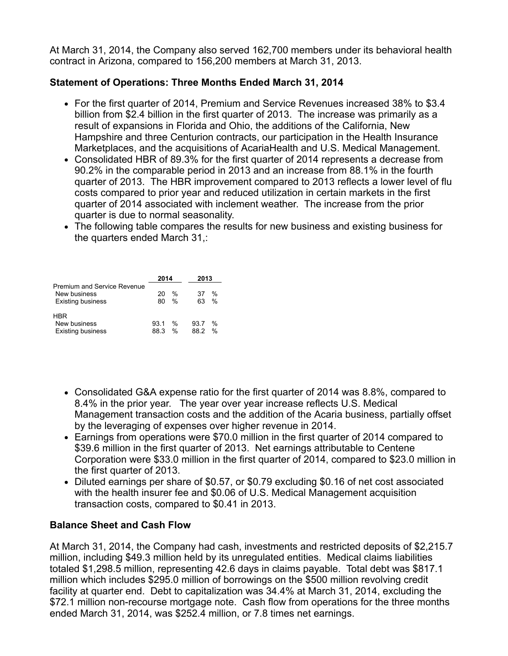At March 31, 2014, the Company also served 162,700 members under its behavioral health contract in Arizona, compared to 156,200 members at March 31, 2013.

### **Statement of Operations: Three Months Ended March 31, 2014**

- For the first quarter of 2014, Premium and Service Revenues increased 38% to \$3.4 billion from \$2.4 billion in the first quarter of 2013. The increase was primarily as a result of expansions in Florida and Ohio, the additions of the California, New Hampshire and three Centurion contracts, our participation in the Health Insurance Marketplaces, and the acquisitions of AcariaHealth and U.S. Medical Management.
- Consolidated HBR of 89.3% for the first quarter of 2014 represents a decrease from 90.2% in the comparable period in 2013 and an increase from 88.1% in the fourth quarter of 2013. The HBR improvement compared to 2013 reflects a lower level of flu costs compared to prior year and reduced utilization in certain markets in the first quarter of 2014 associated with inclement weather. The increase from the prior quarter is due to normal seasonality.
- The following table compares the results for new business and existing business for the quarters ended March 31,:

|                                                                                | 2014       |                                | 2013         |                    |
|--------------------------------------------------------------------------------|------------|--------------------------------|--------------|--------------------|
| <b>Premium and Service Revenue</b><br>New business<br><b>Existing business</b> | 20<br>80   | $\frac{0}{2}$<br>$\%$          | 37<br>63     | %<br>$\frac{0}{0}$ |
| HBR<br>New business<br><b>Existing business</b>                                | 931<br>883 | $\frac{0}{2}$<br>$\frac{0}{0}$ | 93.7<br>88.2 | %<br>$\frac{0}{0}$ |

- Consolidated G&A expense ratio for the first quarter of 2014 was 8.8%, compared to 8.4% in the prior year. The year over year increase reflects U.S. Medical Management transaction costs and the addition of the Acaria business, partially offset by the leveraging of expenses over higher revenue in 2014.
- Earnings from operations were \$70.0 million in the first quarter of 2014 compared to \$39.6 million in the first quarter of 2013. Net earnings attributable to Centene Corporation were \$33.0 million in the first quarter of 2014, compared to \$23.0 million in the first quarter of 2013.
- Diluted earnings per share of \$0.57, or \$0.79 excluding \$0.16 of net cost associated with the health insurer fee and \$0.06 of U.S. Medical Management acquisition transaction costs, compared to \$0.41 in 2013.

### **Balance Sheet and Cash Flow**

At March 31, 2014, the Company had cash, investments and restricted deposits of \$2,215.7 million, including \$49.3 million held by its unregulated entities. Medical claims liabilities totaled \$1,298.5 million, representing 42.6 days in claims payable. Total debt was \$817.1 million which includes \$295.0 million of borrowings on the \$500 million revolving credit facility at quarter end. Debt to capitalization was 34.4% at March 31, 2014, excluding the \$72.1 million non-recourse mortgage note. Cash flow from operations for the three months ended March 31, 2014, was \$252.4 million, or 7.8 times net earnings.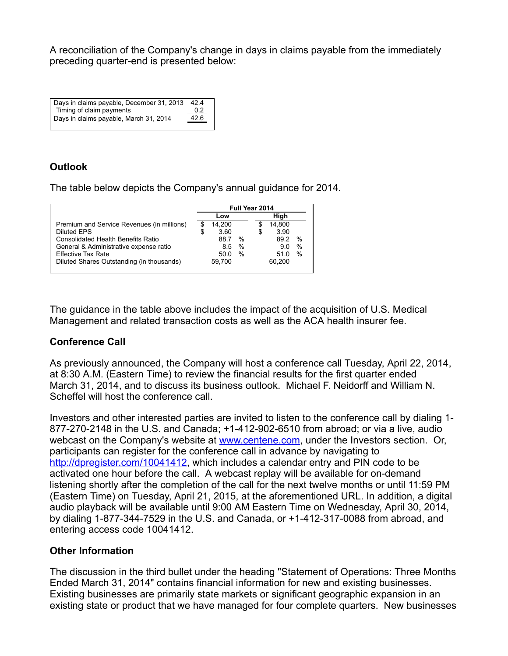A reconciliation of the Company's change in days in claims payable from the immediately preceding quarter-end is presented below:

| Days in claims payable, December 31, 2013 | 424  |  |
|-------------------------------------------|------|--|
| Timing of claim payments                  | 0.2  |  |
| Days in claims payable, March 31, 2014    | 42.6 |  |

# **Outlook**

The table below depicts the Company's annual guidance for 2014.

|                                            |   | Full Year 2014 |      |    |        |               |
|--------------------------------------------|---|----------------|------|----|--------|---------------|
|                                            |   | Low            |      |    | High   |               |
| Premium and Service Revenues (in millions) |   | 14.200         |      | S  | 14.800 |               |
| Diluted EPS                                | S | 3.60           |      | \$ | 3.90   |               |
| <b>Consolidated Health Benefits Ratio</b>  |   | 88.7           | %    |    | 89.2   | $\%$          |
| General & Administrative expense ratio     |   | 8.5            | $\%$ |    | 9.0    | $\%$          |
| <b>Effective Tax Rate</b>                  |   | 50.0           | $\%$ |    | 51 0   | $\frac{0}{0}$ |
| Diluted Shares Outstanding (in thousands)  |   | 59.700         |      |    | 60.200 |               |
|                                            |   |                |      |    |        |               |

The guidance in the table above includes the impact of the acquisition of U.S. Medical Management and related transaction costs as well as the ACA health insurer fee.

### **Conference Call**

As previously announced, the Company will host a conference call Tuesday, April 22, 2014, at 8:30 A.M. (Eastern Time) to review the financial results for the first quarter ended March 31, 2014, and to discuss its business outlook. Michael F. Neidorff and William N. Scheffel will host the conference call.

Investors and other interested parties are invited to listen to the conference call by dialing 1- 877-270-2148 in the U.S. and Canada; +1-412-902-6510 from abroad; or via a live, audio webcast on the Company's website at [www.centene.com,](http://www.centene.com/) under the Investors section. Or, participants can register for the conference call in advance by navigating to [http://dpregister.com/10041412,](http://dpregister.com/10041412) which includes a calendar entry and PIN code to be activated one hour before the call. A webcast replay will be available for on-demand listening shortly after the completion of the call for the next twelve months or until 11:59 PM (Eastern Time) on Tuesday, April 21, 2015, at the aforementioned URL. In addition, a digital audio playback will be available until 9:00 AM Eastern Time on Wednesday, April 30, 2014, by dialing 1-877-344-7529 in the U.S. and Canada, or +1-412-317-0088 from abroad, and entering access code 10041412.

### **Other Information**

The discussion in the third bullet under the heading "Statement of Operations: Three Months Ended March 31, 2014" contains financial information for new and existing businesses. Existing businesses are primarily state markets or significant geographic expansion in an existing state or product that we have managed for four complete quarters. New businesses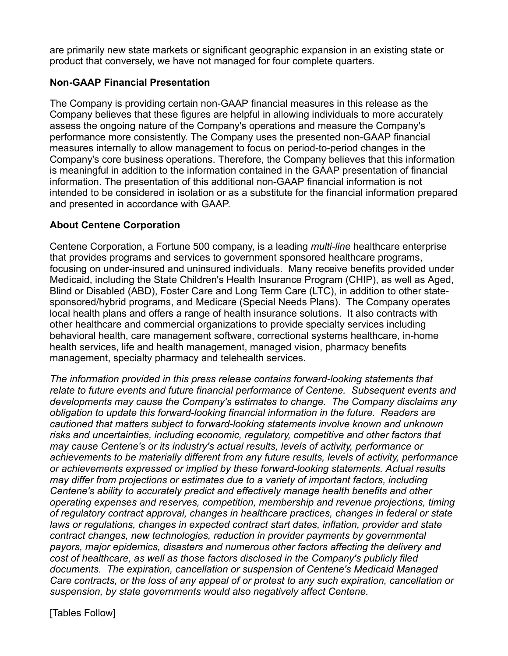are primarily new state markets or significant geographic expansion in an existing state or product that conversely, we have not managed for four complete quarters.

### **Non-GAAP Financial Presentation**

The Company is providing certain non-GAAP financial measures in this release as the Company believes that these figures are helpful in allowing individuals to more accurately assess the ongoing nature of the Company's operations and measure the Company's performance more consistently. The Company uses the presented non-GAAP financial measures internally to allow management to focus on period-to-period changes in the Company's core business operations. Therefore, the Company believes that this information is meaningful in addition to the information contained in the GAAP presentation of financial information. The presentation of this additional non-GAAP financial information is not intended to be considered in isolation or as a substitute for the financial information prepared and presented in accordance with GAAP.

# **About Centene Corporation**

Centene Corporation, a Fortune 500 company, is a leading *multi-line* healthcare enterprise that provides programs and services to government sponsored healthcare programs, focusing on under-insured and uninsured individuals. Many receive benefits provided under Medicaid, including the State Children's Health Insurance Program (CHIP), as well as Aged, Blind or Disabled (ABD), Foster Care and Long Term Care (LTC), in addition to other statesponsored/hybrid programs, and Medicare (Special Needs Plans). The Company operates local health plans and offers a range of health insurance solutions. It also contracts with other healthcare and commercial organizations to provide specialty services including behavioral health, care management software, correctional systems healthcare, in-home health services, life and health management, managed vision, pharmacy benefits management, specialty pharmacy and telehealth services.

*The information provided in this press release contains forward-looking statements that relate to future events and future financial performance of Centene. Subsequent events and developments may cause the Company's estimates to change. The Company disclaims any obligation to update this forward-looking financial information in the future. Readers are cautioned that matters subject to forward-looking statements involve known and unknown risks and uncertainties, including economic, regulatory, competitive and other factors that may cause Centene's or its industry's actual results, levels of activity, performance or achievements to be materially different from any future results, levels of activity, performance or achievements expressed or implied by these forward-looking statements. Actual results may differ from projections or estimates due to a variety of important factors, including Centene's ability to accurately predict and effectively manage health benefits and other operating expenses and reserves, competition, membership and revenue projections, timing of regulatory contract approval, changes in healthcare practices, changes in federal or state laws or regulations, changes in expected contract start dates, inflation, provider and state contract changes, new technologies, reduction in provider payments by governmental payors, major epidemics, disasters and numerous other factors affecting the delivery and cost of healthcare, as well as those factors disclosed in the Company's publicly filed documents. The expiration, cancellation or suspension of Centene's Medicaid Managed Care contracts, or the loss of any appeal of or protest to any such expiration, cancellation or suspension, by state governments would also negatively affect Centene.*

[Tables Follow]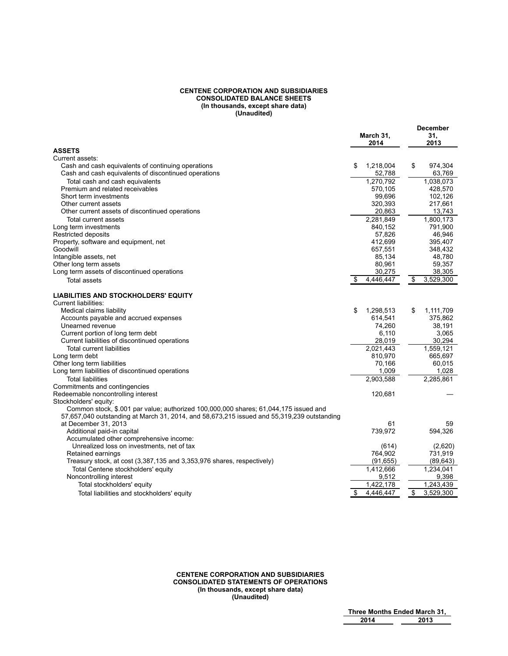#### **CENTENE CORPORATION AND SUBSIDIARIES CONSOLIDATED BALANCE SHEETS (In thousands, except share data) (Unaudited)**

|                                                                                            |                   | <b>December</b> |
|--------------------------------------------------------------------------------------------|-------------------|-----------------|
|                                                                                            | March 31,<br>2014 | 31,<br>2013     |
| <b>ASSETS</b>                                                                              |                   |                 |
| Current assets:                                                                            |                   |                 |
| Cash and cash equivalents of continuing operations                                         | \$<br>1,218,004   | \$<br>974,304   |
| Cash and cash equivalents of discontinued operations                                       | 52,788            | 63,769          |
| Total cash and cash equivalents                                                            | 1,270,792         | 1,038,073       |
| Premium and related receivables                                                            | 570,105           | 428,570         |
| Short term investments                                                                     | 99,696            | 102,126         |
| Other current assets                                                                       | 320,393           | 217,661         |
| Other current assets of discontinued operations                                            | 20,863            | 13,743          |
| Total current assets                                                                       | 2,281,849         | 1,800,173       |
| Long term investments                                                                      | 840,152           | 791,900         |
| <b>Restricted deposits</b>                                                                 | 57,826            | 46,946          |
| Property, software and equipment, net                                                      | 412,699           | 395,407         |
| Goodwill                                                                                   | 657,551           | 348,432         |
| Intangible assets, net                                                                     | 85,134            | 48,780          |
| Other long term assets                                                                     | 80,961            | 59,357          |
| Long term assets of discontinued operations                                                | 30,275            | 38,305          |
| Total assets                                                                               | 4,446,447         | \$<br>3,529,300 |
| <b>LIABILITIES AND STOCKHOLDERS' EQUITY</b>                                                |                   |                 |
| Current liabilities:                                                                       |                   |                 |
| Medical claims liability                                                                   | \$<br>1,298,513   | \$<br>1,111,709 |
| Accounts payable and accrued expenses                                                      | 614,541           | 375,862         |
| Unearned revenue                                                                           | 74,260            | 38,191          |
| Current portion of long term debt                                                          | 6,110             | 3,065           |
| Current liabilities of discontinued operations                                             | 28,019            | 30,294          |
| <b>Total current liabilities</b>                                                           | 2,021,443         | 1,559,121       |
| Long term debt                                                                             | 810,970           | 665,697         |
| Other long term liabilities                                                                | 70,166            | 60,015          |
| Long term liabilities of discontinued operations                                           | 1,009             | 1,028           |
| <b>Total liabilities</b>                                                                   | 2,903,588         | 2,285,861       |
| Commitments and contingencies                                                              |                   |                 |
| Redeemable noncontrolling interest                                                         | 120,681           |                 |
| Stockholders' equity:                                                                      |                   |                 |
| Common stock, \$.001 par value; authorized 100,000,000 shares; 61,044,175 issued and       |                   |                 |
| 57,657,040 outstanding at March 31, 2014, and 58,673,215 issued and 55,319,239 outstanding |                   |                 |
| at December 31, 2013                                                                       | 61                | 59              |
| Additional paid-in capital                                                                 | 739,972           | 594,326         |
| Accumulated other comprehensive income:                                                    |                   |                 |
| Unrealized loss on investments, net of tax                                                 | (614)             | (2,620)         |
| Retained earnings                                                                          | 764,902           | 731,919         |
| Treasury stock, at cost (3,387,135 and 3,353,976 shares, respectively)                     | (91, 655)         | (89, 643)       |
| Total Centene stockholders' equity                                                         | 1,412,666         | 1,234,041       |
| Noncontrolling interest                                                                    | 9,512             | 9,398           |
| Total stockholders' equity                                                                 | 1,422,178         | 1,243,439       |
| Total liabilities and stockholders' equity                                                 | \$<br>4,446,447   | \$<br>3,529,300 |

#### **CENTENE CORPORATION AND SUBSIDIARIES CONSOLIDATED STATEMENTS OF OPERATIONS (In thousands, except share data) (Unaudited)**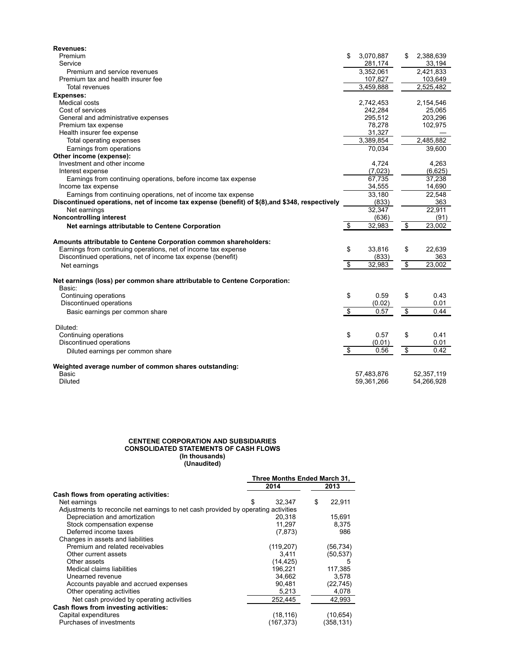| <b>Revenues:</b>                                                                               |                                  |            |                         |            |
|------------------------------------------------------------------------------------------------|----------------------------------|------------|-------------------------|------------|
| Premium                                                                                        | \$                               | 3,070,887  | \$                      | 2,388,639  |
| Service                                                                                        |                                  | 281,174    |                         | 33,194     |
| Premium and service revenues                                                                   |                                  | 3,352,061  |                         | 2,421,833  |
| Premium tax and health insurer fee                                                             |                                  | 107,827    |                         | 103,649    |
| <b>Total revenues</b>                                                                          |                                  | 3,459,888  |                         | 2,525,482  |
| <b>Expenses:</b>                                                                               |                                  |            |                         |            |
| Medical costs                                                                                  |                                  | 2,742,453  |                         | 2,154,546  |
| Cost of services                                                                               |                                  | 242,284    |                         | 25,065     |
| General and administrative expenses                                                            |                                  | 295,512    |                         | 203,296    |
| Premium tax expense                                                                            |                                  | 78,278     |                         | 102,975    |
| Health insurer fee expense                                                                     |                                  | 31,327     |                         |            |
| Total operating expenses                                                                       |                                  | 3,389,854  |                         | 2,485,882  |
| Earnings from operations                                                                       |                                  | 70,034     |                         | 39,600     |
| Other income (expense):                                                                        |                                  |            |                         |            |
| Investment and other income                                                                    |                                  | 4,724      |                         | 4,263      |
| Interest expense                                                                               |                                  | (7,023)    |                         | (6,625)    |
| Earnings from continuing operations, before income tax expense                                 |                                  | 67,735     |                         | 37,238     |
| Income tax expense                                                                             |                                  | 34,555     |                         | 14,690     |
| Earnings from continuing operations, net of income tax expense                                 |                                  | 33,180     |                         | 22,548     |
| Discontinued operations, net of income tax expense (benefit) of \$(8), and \$348, respectively |                                  | (833)      |                         | 363        |
| Net earnings                                                                                   |                                  | 32,347     |                         | 22,911     |
| <b>Noncontrolling interest</b>                                                                 |                                  | (636)      |                         | (91)       |
|                                                                                                | $\overline{\mathbf{3}}$          | 32,983     | $\overline{\mathbf{3}}$ | 23,002     |
| Net earnings attributable to Centene Corporation                                               |                                  |            |                         |            |
| Amounts attributable to Centene Corporation common shareholders:                               |                                  |            |                         |            |
| Earnings from continuing operations, net of income tax expense                                 | \$                               | 33,816     | \$                      | 22,639     |
| Discontinued operations, net of income tax expense (benefit)                                   |                                  | (833)      |                         | 363        |
| Net earnings                                                                                   | $\overline{\boldsymbol{\theta}}$ | 32,983     | $\overline{\mathbf{3}}$ | 23,002     |
|                                                                                                |                                  |            |                         |            |
| Net earnings (loss) per common share attributable to Centene Corporation:<br>Basic:            |                                  |            |                         |            |
| Continuing operations                                                                          | \$                               | 0.59       | \$                      | 0.43       |
| Discontinued operations                                                                        |                                  | (0.02)     |                         | 0.01       |
| Basic earnings per common share                                                                | \$                               | 0.57       | \$                      | 0.44       |
|                                                                                                |                                  |            |                         |            |
| Diluted:                                                                                       |                                  |            |                         |            |
| Continuing operations                                                                          | \$                               | 0.57       | \$                      | 0.41       |
| Discontinued operations                                                                        |                                  | (0.01)     |                         | 0.01       |
| Diluted earnings per common share                                                              | \$                               | 0.56       | \$                      | 0.42       |
| Weighted average number of common shares outstanding:                                          |                                  |            |                         |            |
| <b>Basic</b>                                                                                   |                                  | 57,483,876 |                         | 52,357,119 |
| Diluted                                                                                        |                                  | 59,361,266 |                         | 54,266,928 |

#### **CENTENE CORPORATION AND SUBSIDIARIES CONSOLIDATED STATEMENTS OF CASH FLOWS (In thousands) (Unaudited)**

|                                                                                    | Three Months Ended March 31, |            |    |           |
|------------------------------------------------------------------------------------|------------------------------|------------|----|-----------|
|                                                                                    |                              | 2014       |    | 2013      |
| Cash flows from operating activities:                                              |                              |            |    |           |
| Net earnings                                                                       | \$.                          | 32,347     | \$ | 22,911    |
| Adjustments to reconcile net earnings to net cash provided by operating activities |                              |            |    |           |
| Depreciation and amortization                                                      |                              | 20,318     |    | 15,691    |
| Stock compensation expense                                                         |                              | 11,297     |    | 8.375     |
| Deferred income taxes                                                              |                              | (7, 873)   |    | 986       |
| Changes in assets and liabilities                                                  |                              |            |    |           |
| Premium and related receivables                                                    |                              | (119, 207) |    | (56,734)  |
| Other current assets                                                               |                              | 3.411      |    | (50,537)  |
| Other assets                                                                       |                              | (14,425)   |    | 5         |
| Medical claims liabilities                                                         |                              | 196.221    |    | 117,385   |
| Unearned revenue                                                                   |                              | 34,662     |    | 3,578     |
| Accounts payable and accrued expenses                                              |                              | 90,481     |    | (22, 745) |
| Other operating activities                                                         |                              | 5,213      |    | 4,078     |
| Net cash provided by operating activities                                          |                              | 252,445    |    | 42.993    |
| Cash flows from investing activities:                                              |                              |            |    |           |
| Capital expenditures                                                               |                              | (18, 116)  |    | (10,654)  |
| Purchases of investments                                                           |                              | (167, 373) |    | (358,131) |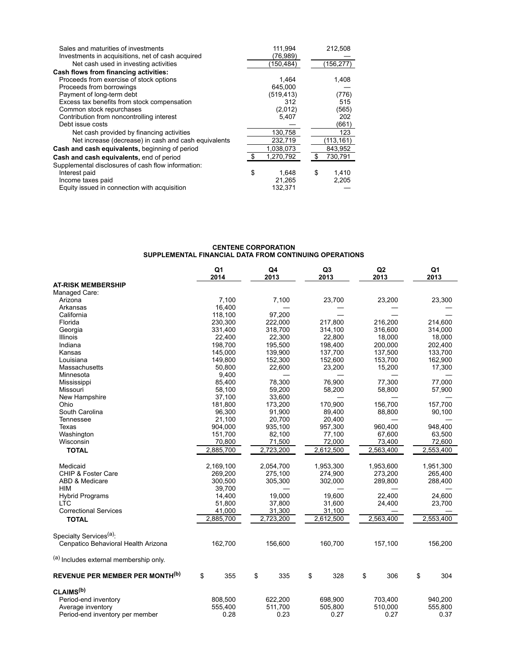| Sales and maturities of investments                  | 111,994     |    | 212,508    |
|------------------------------------------------------|-------------|----|------------|
| Investments in acquisitions, net of cash acquired    | (76,989)    |    |            |
| Net cash used in investing activities                | (150,484)   |    | (156, 277) |
| Cash flows from financing activities:                |             |    |            |
| Proceeds from exercise of stock options              | 1,464       |    | 1,408      |
| Proceeds from borrowings                             | 645,000     |    |            |
| Payment of long-term debt                            | (519, 413)  |    | (776)      |
| Excess tax benefits from stock compensation          | 312         |    | 515        |
| Common stock repurchases                             | (2,012)     |    | (565)      |
| Contribution from noncontrolling interest            | 5,407       |    | 202        |
| Debt issue costs                                     |             |    | (661)      |
| Net cash provided by financing activities            | 130,758     |    | 123        |
| Net increase (decrease) in cash and cash equivalents | 232,719     |    | (113,161)  |
| Cash and cash equivalents, beginning of period       | 1,038,073   |    | 843,952    |
| Cash and cash equivalents, end of period             | 1,270,792   |    | 730,791    |
| Supplemental disclosures of cash flow information:   |             |    |            |
| Interest paid                                        | \$<br>1.648 | \$ | 1,410      |
| Income taxes paid                                    | 21.265      |    | 2,205      |
| Equity issued in connection with acquisition         | 132.371     |    |            |

#### **CENTENE CORPORATION SUPPLEMENTAL FINANCIAL DATA FROM CONTINUING OPERATIONS**

|                                        | Q <sub>1</sub><br>2014 | Q <sub>4</sub><br>2013 |       | Q <sub>3</sub><br>2013 | Q2<br>2013 | Q <sub>1</sub><br>2013 |
|----------------------------------------|------------------------|------------------------|-------|------------------------|------------|------------------------|
| <b>AT-RISK MEMBERSHIP</b>              |                        |                        |       |                        |            |                        |
| Managed Care:                          |                        |                        |       |                        |            |                        |
| Arizona                                | 7,100                  |                        | 7,100 | 23,700                 | 23,200     | 23,300                 |
| Arkansas                               | 16,400                 |                        |       |                        |            |                        |
| California                             | 118,100                | 97,200                 |       |                        |            |                        |
| Florida                                | 230,300                | 222,000                |       | 217,800                | 216,200    | 214,600                |
| Georgia                                | 331,400                | 318,700                |       | 314,100                | 316,600    | 314,000                |
| Illinois                               | 22,400                 | 22,300                 |       | 22,800                 | 18,000     | 18,000                 |
| Indiana                                | 198,700                | 195,500                |       | 198,400                | 200,000    | 202,400                |
| Kansas                                 | 145,000                | 139,900                |       | 137,700                | 137,500    | 133,700                |
| Louisiana                              | 149,800                | 152,300                |       | 152,600                | 153,700    | 162,900                |
| Massachusetts                          | 50,800                 | 22,600                 |       | 23,200                 | 15,200     | 17,300                 |
| Minnesota                              | 9,400                  |                        |       |                        |            |                        |
| Mississippi                            | 85,400                 | 78,300                 |       | 76,900                 | 77,300     | 77.000                 |
| Missouri                               | 58,100                 | 59,200                 |       | 58,200                 | 58,800     | 57,900                 |
| New Hampshire                          | 37,100                 | 33,600                 |       |                        |            |                        |
| Ohio                                   | 181,800                | 173,200                |       | 170,900                | 156,700    | 157,700                |
| South Carolina                         | 96,300                 | 91,900                 |       | 89,400                 | 88,800     | 90,100                 |
| Tennessee                              | 21,100                 | 20,700                 |       | 20,400                 |            |                        |
| Texas                                  | 904,000                | 935,100                |       | 957,300                | 960,400    | 948,400                |
| Washington                             | 151,700                | 82,100                 |       | 77,100                 | 67,600     | 63,500                 |
| Wisconsin                              | 70,800                 | 71,500                 |       | 72,000                 | 73,400     | 72,600                 |
|                                        |                        |                        |       |                        |            |                        |
| <b>TOTAL</b>                           | 2,885,700              | 2,723,200              |       | 2,612,500              | 2,563,400  | 2,553,400              |
| Medicaid                               | 2,169,100              | 2,054,700              |       | 1,953,300              | 1,953,600  | 1,951,300              |
| <b>CHIP &amp; Foster Care</b>          | 269,200                | 275,100                |       | 274,900                | 273,200    | 265,400                |
| ABD & Medicare                         | 300,500                | 305,300                |       | 302,000                | 289,800    | 288,400                |
| <b>HIM</b>                             | 39,700                 |                        |       |                        |            |                        |
| <b>Hybrid Programs</b>                 | 14,400                 | 19.000                 |       | 19.600                 | 22.400     | 24,600                 |
| <b>LTC</b>                             | 51,800                 | 37,800                 |       | 31,600                 | 24,400     | 23,700                 |
| <b>Correctional Services</b>           | 41,000                 | 31,300                 |       | 31,100                 |            |                        |
| <b>TOTAL</b>                           | 2,885,700              | 2,723,200              |       | 2,612,500              | 2,563,400  | 2,553,400              |
| Specialty Services <sup>(a)</sup> :    |                        |                        |       |                        |            |                        |
| Cenpatico Behavioral Health Arizona    | 162,700                | 156,600                |       | 160,700                | 157,100    | 156,200                |
| (a) Includes external membership only. |                        |                        |       |                        |            |                        |
| <b>REVENUE PER MEMBER PER MONTH(b)</b> | \$<br>355              | \$                     | 335   | \$<br>328              | \$<br>306  | \$<br>304              |
| CLAIMS <sup>(b)</sup>                  |                        |                        |       |                        |            |                        |
| Period-end inventory                   | 808,500                | 622,200                |       | 698,900                | 703,400    | 940,200                |
| Average inventory                      | 555,400                | 511,700                |       | 505,800                | 510,000    | 555,800                |
| Period-end inventory per member        | 0.28                   |                        | 0.23  | 0.27                   | 0.27       | 0.37                   |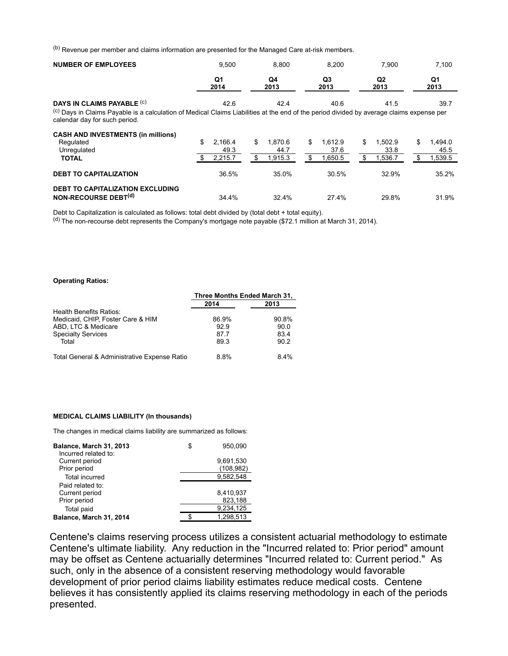(b) Revenue per member and claims information are presented for the Managed Care at-risk members.

| <b>NUMBER OF EMPLOYEES</b>                                                                                                                                                           | 9.500                 | 8.800                 | 8.200                 | 7.900                 | 7,100                 |
|--------------------------------------------------------------------------------------------------------------------------------------------------------------------------------------|-----------------------|-----------------------|-----------------------|-----------------------|-----------------------|
|                                                                                                                                                                                      | Q1<br>2014            | Q4<br>2013            | Q3<br>2013            | Q2<br>2013            | Q1<br>2013            |
| DAYS IN CLAIMS PAYABLE (C)                                                                                                                                                           | 42.6                  | 42.4                  | 40.6                  | 41.5                  | 39.7                  |
| <sup>(c)</sup> Days in Claims Payable is a calculation of Medical Claims Liabilities at the end of the period divided by average claims expense per<br>calendar day for such period. |                       |                       |                       |                       |                       |
| <b>CASH AND INVESTMENTS (in millions)</b>                                                                                                                                            |                       |                       |                       |                       |                       |
| Regulated<br>Unregulated                                                                                                                                                             | \$<br>2,166.4<br>49.3 | \$<br>1.870.6<br>44.7 | \$<br>1,612.9<br>37.6 | \$<br>1.502.9<br>33.8 | \$<br>1.494.0<br>45.5 |
| <b>TOTAL</b>                                                                                                                                                                         | 2,215.7               | 1,915.3<br>\$         | 1,650.5<br>\$         | 1,536.7<br>\$         | 1,539.5<br>\$.        |
| <b>DEBT TO CAPITALIZATION</b>                                                                                                                                                        | 36.5%                 | 35.0%                 | 30.5%                 | 32.9%                 | 35.2%                 |
| <b>DEBT TO CAPITALIZATION EXCLUDING</b>                                                                                                                                              |                       |                       |                       |                       |                       |
| NON-RECOURSE DEBT <sup>(d)</sup>                                                                                                                                                     | 34.4%                 | 32.4%                 | 27.4%                 | 29.8%                 | 31.9%                 |

Debt to Capitalization is calculated as follows: total debt divided by (total debt + total equity).

(d) The non-recourse debt represents the Company's mortgage note payable (\$72.1 million at March 31, 2014).

#### **Operating Ratios:**

|                                              | Three Months Ended March 31, |       |  |
|----------------------------------------------|------------------------------|-------|--|
|                                              | 2014                         | 2013  |  |
| Health Benefits Ratios:                      |                              |       |  |
| Medicaid, CHIP, Foster Care & HIM            | 86.9%                        | 90.8% |  |
| ABD, LTC & Medicare                          | 92.9                         | 90.0  |  |
| <b>Specialty Services</b>                    | 877                          | 83.4  |  |
| Total                                        | 89.3                         | 90.2  |  |
| Total General & Administrative Expense Ratio | 8.8%                         | 8.4%  |  |

#### **MEDICAL CLAIMS LIABILITY (In thousands)**

The changes in medical claims liability are summarized as follows:

| Balance, March 31, 2013<br>Incurred related to: | 950.090    |
|-------------------------------------------------|------------|
| Current period                                  | 9,691,530  |
| Prior period                                    | (108, 982) |
| <b>Total incurred</b>                           | 9,582,548  |
| Paid related to:                                |            |
| Current period                                  | 8,410,937  |
| Prior period                                    | 823,188    |
| Total paid                                      | 9,234,125  |
| Balance, March 31, 2014                         | 1.298.513  |

Centene's claims reserving process utilizes a consistent actuarial methodology to estimate Centene's ultimate liability. Any reduction in the "Incurred related to: Prior period" amount may be offset as Centene actuarially determines "Incurred related to: Current period." As such, only in the absence of a consistent reserving methodology would favorable development of prior period claims liability estimates reduce medical costs. Centene believes it has consistently applied its claims reserving methodology in each of the periods presented.